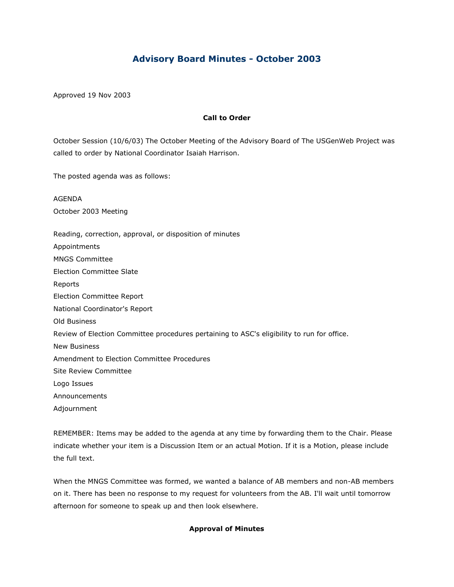# **Advisory Board Minutes - October 2003**

Approved 19 Nov 2003

## **Call to Order**

October Session (10/6/03) The October Meeting of the Advisory Board of The USGenWeb Project was called to order by National Coordinator Isaiah Harrison.

The posted agenda was as follows:

AGENDA October 2003 Meeting

Reading, correction, approval, or disposition of minutes

Appointments

MNGS Committee

Election Committee Slate

Reports

Election Committee Report

National Coordinator's Report

Old Business

Review of Election Committee procedures pertaining to ASC's eligibility to run for office.

New Business

Amendment to Election Committee Procedures

Site Review Committee

Logo Issues

Announcements

Adjournment

REMEMBER: Items may be added to the agenda at any time by forwarding them to the Chair. Please indicate whether your item is a Discussion Item or an actual Motion. If it is a Motion, please include the full text.

When the MNGS Committee was formed, we wanted a balance of AB members and non-AB members on it. There has been no response to my request for volunteers from the AB. I'll wait until tomorrow afternoon for someone to speak up and then look elsewhere.

## **Approval of Minutes**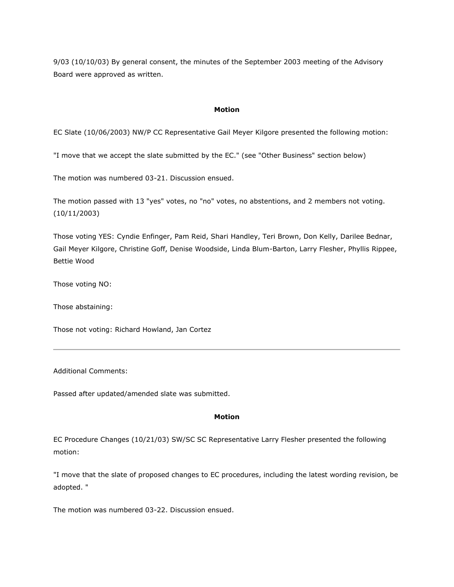9/03 (10/10/03) By general consent, the minutes of the September 2003 meeting of the Advisory Board were approved as written.

### **Motion**

EC Slate (10/06/2003) NW/P CC Representative Gail Meyer Kilgore presented the following motion:

"I move that we accept the slate submitted by the EC." (see "Other Business" section below)

The motion was numbered 03-21. Discussion ensued.

The motion passed with 13 "yes" votes, no "no" votes, no abstentions, and 2 members not voting. (10/11/2003)

Those voting YES: Cyndie Enfinger, Pam Reid, Shari Handley, Teri Brown, Don Kelly, Darilee Bednar, Gail Meyer Kilgore, Christine Goff, Denise Woodside, Linda Blum-Barton, Larry Flesher, Phyllis Rippee, Bettie Wood

Those voting NO:

Those abstaining:

Those not voting: Richard Howland, Jan Cortez

Additional Comments:

Passed after updated/amended slate was submitted.

#### **Motion**

EC Procedure Changes (10/21/03) SW/SC SC Representative Larry Flesher presented the following motion:

"I move that the slate of proposed changes to EC procedures, including the latest wording revision, be adopted. "

The motion was numbered 03-22. Discussion ensued.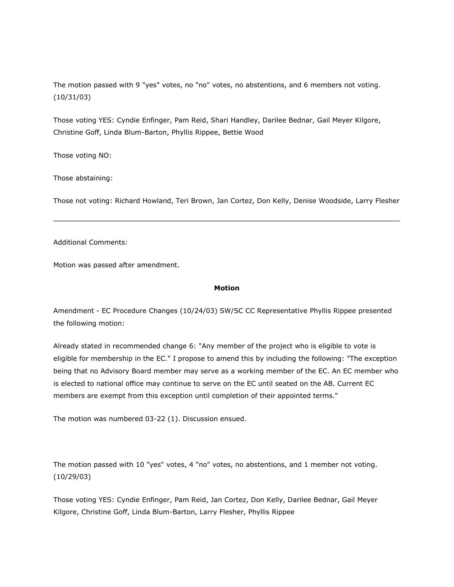The motion passed with 9 "yes" votes, no "no" votes, no abstentions, and 6 members not voting. (10/31/03)

Those voting YES: Cyndie Enfinger, Pam Reid, Shari Handley, Darilee Bednar, Gail Meyer Kilgore, Christine Goff, Linda Blum-Barton, Phyllis Rippee, Bettie Wood

Those voting NO:

Those abstaining:

Those not voting: Richard Howland, Teri Brown, Jan Cortez, Don Kelly, Denise Woodside, Larry Flesher

Additional Comments:

Motion was passed after amendment.

#### **Motion**

Amendment - EC Procedure Changes (10/24/03) SW/SC CC Representative Phyllis Rippee presented the following motion:

Already stated in recommended change 6: "Any member of the project who is eligible to vote is eligible for membership in the EC." I propose to amend this by including the following: "The exception being that no Advisory Board member may serve as a working member of the EC. An EC member who is elected to national office may continue to serve on the EC until seated on the AB. Current EC members are exempt from this exception until completion of their appointed terms."

The motion was numbered 03-22 (1). Discussion ensued.

The motion passed with 10 "yes" votes, 4 "no" votes, no abstentions, and 1 member not voting. (10/29/03)

Those voting YES: Cyndie Enfinger, Pam Reid, Jan Cortez, Don Kelly, Darilee Bednar, Gail Meyer Kilgore, Christine Goff, Linda Blum-Barton, Larry Flesher, Phyllis Rippee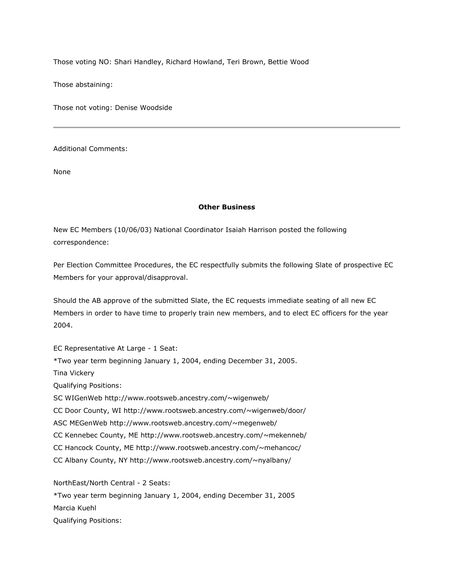Those voting NO: Shari Handley, Richard Howland, Teri Brown, Bettie Wood

Those abstaining:

Those not voting: Denise Woodside

Additional Comments:

None

### **Other Business**

New EC Members (10/06/03) National Coordinator Isaiah Harrison posted the following correspondence:

Per Election Committee Procedures, the EC respectfully submits the following Slate of prospective EC Members for your approval/disapproval.

Should the AB approve of the submitted Slate, the EC requests immediate seating of all new EC Members in order to have time to properly train new members, and to elect EC officers for the year 2004.

EC Representative At Large - 1 Seat: \*Two year term beginning January 1, 2004, ending December 31, 2005. Tina Vickery Qualifying Positions: SC WIGenWeb http://www.rootsweb.ancestry.com/~wigenweb/ CC Door County, WI http://www.rootsweb.ancestry.com/~wigenweb/door/ ASC MEGenWeb http://www.rootsweb.ancestry.com/~megenweb/ CC Kennebec County, ME http://www.rootsweb.ancestry.com/~mekenneb/ CC Hancock County, ME http://www.rootsweb.ancestry.com/~mehancoc/ CC Albany County, NY http://www.rootsweb.ancestry.com/~nyalbany/

NorthEast/North Central - 2 Seats:

\*Two year term beginning January 1, 2004, ending December 31, 2005 Marcia Kuehl Qualifying Positions: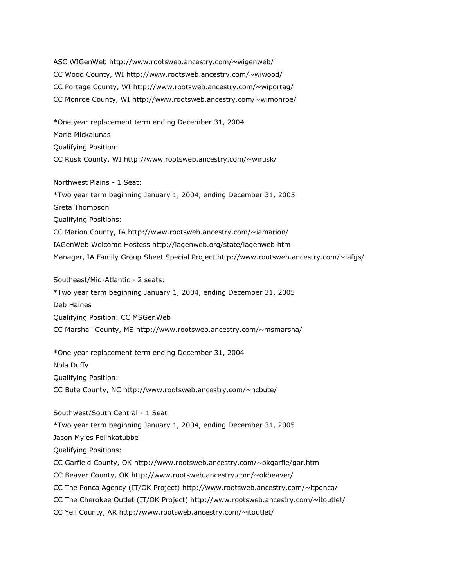ASC WIGenWeb http://www.rootsweb.ancestry.com/~wigenweb/ CC Wood County, WI http://www.rootsweb.ancestry.com/~wiwood/ CC Portage County, WI http://www.rootsweb.ancestry.com/~wiportag/ CC Monroe County, WI http://www.rootsweb.ancestry.com/~wimonroe/

\*One year replacement term ending December 31, 2004 Marie Mickalunas Qualifying Position: CC Rusk County, WI http://www.rootsweb.ancestry.com/~wirusk/

Northwest Plains - 1 Seat: \*Two year term beginning January 1, 2004, ending December 31, 2005 Greta Thompson Qualifying Positions: CC Marion County, IA http://www.rootsweb.ancestry.com/~iamarion/ IAGenWeb Welcome Hostess http://iagenweb.org/state/iagenweb.htm Manager, IA Family Group Sheet Special Project http://www.rootsweb.ancestry.com/~iafgs/

Southeast/Mid-Atlantic - 2 seats: \*Two year term beginning January 1, 2004, ending December 31, 2005 Deb Haines Qualifying Position: CC MSGenWeb CC Marshall County, MS http://www.rootsweb.ancestry.com/~msmarsha/

\*One year replacement term ending December 31, 2004 Nola Duffy Qualifying Position: CC Bute County, NC http://www.rootsweb.ancestry.com/~ncbute/

Southwest/South Central - 1 Seat \*Two year term beginning January 1, 2004, ending December 31, 2005 Jason Myles Felihkatubbe Qualifying Positions: CC Garfield County, OK http://www.rootsweb.ancestry.com/~okgarfie/gar.htm CC Beaver County, OK http://www.rootsweb.ancestry.com/~okbeaver/ CC The Ponca Agency (IT/OK Project) http://www.rootsweb.ancestry.com/~itponca/ CC The Cherokee Outlet (IT/OK Project) http://www.rootsweb.ancestry.com/~itoutlet/ CC Yell County, AR http://www.rootsweb.ancestry.com/~itoutlet/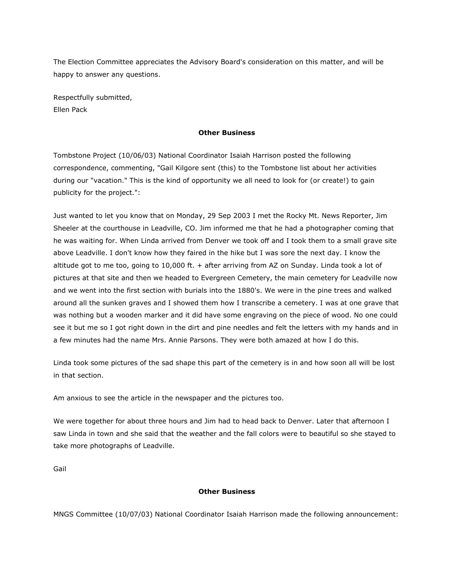The Election Committee appreciates the Advisory Board's consideration on this matter, and will be happy to answer any questions.

Respectfully submitted, Ellen Pack

#### **Other Business**

Tombstone Project (10/06/03) National Coordinator Isaiah Harrison posted the following correspondence, commenting, "Gail Kilgore sent (this) to the Tombstone list about her activities during our "vacation." This is the kind of opportunity we all need to look for (or create!) to gain publicity for the project.":

Just wanted to let you know that on Monday, 29 Sep 2003 I met the Rocky Mt. News Reporter, Jim Sheeler at the courthouse in Leadville, CO. Jim informed me that he had a photographer coming that he was waiting for. When Linda arrived from Denver we took off and I took them to a small grave site above Leadville. I don't know how they faired in the hike but I was sore the next day. I know the altitude got to me too, going to 10,000 ft. + after arriving from AZ on Sunday. Linda took a lot of pictures at that site and then we headed to Evergreen Cemetery, the main cemetery for Leadville now and we went into the first section with burials into the 1880's. We were in the pine trees and walked around all the sunken graves and I showed them how I transcribe a cemetery. I was at one grave that was nothing but a wooden marker and it did have some engraving on the piece of wood. No one could see it but me so I got right down in the dirt and pine needles and felt the letters with my hands and in a few minutes had the name Mrs. Annie Parsons. They were both amazed at how I do this.

Linda took some pictures of the sad shape this part of the cemetery is in and how soon all will be lost in that section.

Am anxious to see the article in the newspaper and the pictures too.

We were together for about three hours and Jim had to head back to Denver. Later that afternoon I saw Linda in town and she said that the weather and the fall colors were to beautiful so she stayed to take more photographs of Leadville.

Gail

#### **Other Business**

MNGS Committee (10/07/03) National Coordinator Isaiah Harrison made the following announcement: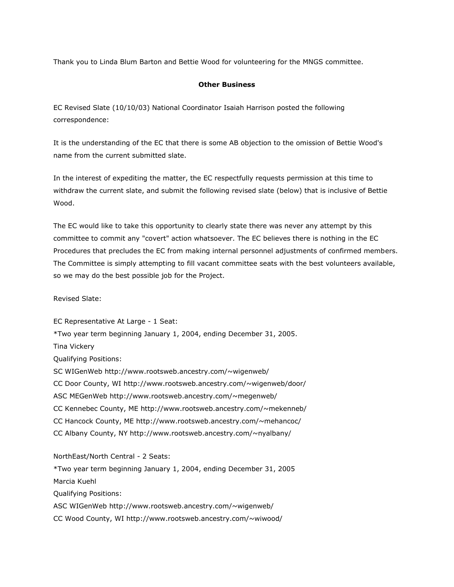Thank you to Linda Blum Barton and Bettie Wood for volunteering for the MNGS committee.

## **Other Business**

EC Revised Slate (10/10/03) National Coordinator Isaiah Harrison posted the following correspondence:

It is the understanding of the EC that there is some AB objection to the omission of Bettie Wood's name from the current submitted slate.

In the interest of expediting the matter, the EC respectfully requests permission at this time to withdraw the current slate, and submit the following revised slate (below) that is inclusive of Bettie Wood.

The EC would like to take this opportunity to clearly state there was never any attempt by this committee to commit any "covert" action whatsoever. The EC believes there is nothing in the EC Procedures that precludes the EC from making internal personnel adjustments of confirmed members. The Committee is simply attempting to fill vacant committee seats with the best volunteers available, so we may do the best possible job for the Project.

Revised Slate:

EC Representative At Large - 1 Seat: \*Two year term beginning January 1, 2004, ending December 31, 2005. Tina Vickery Qualifying Positions: SC WIGenWeb http://www.rootsweb.ancestry.com/~wigenweb/ CC Door County, WI http://www.rootsweb.ancestry.com/~wigenweb/door/ ASC MEGenWeb http://www.rootsweb.ancestry.com/~megenweb/ CC Kennebec County, ME http://www.rootsweb.ancestry.com/~mekenneb/ CC Hancock County, ME http://www.rootsweb.ancestry.com/~mehancoc/ CC Albany County, NY http://www.rootsweb.ancestry.com/~nyalbany/

NorthEast/North Central - 2 Seats: \*Two year term beginning January 1, 2004, ending December 31, 2005 Marcia Kuehl Qualifying Positions: ASC WIGenWeb http://www.rootsweb.ancestry.com/~wigenweb/ CC Wood County, WI http://www.rootsweb.ancestry.com/~wiwood/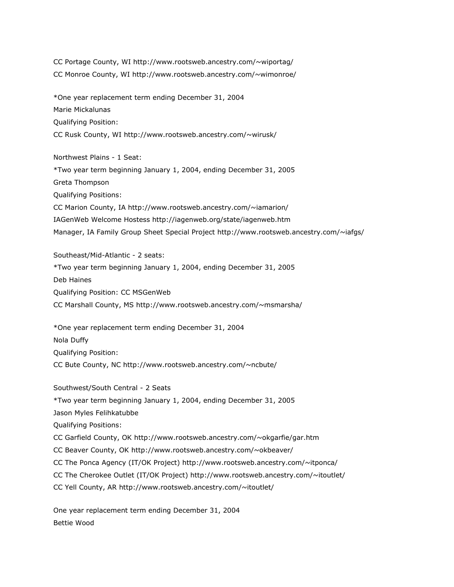CC Portage County, WI http://www.rootsweb.ancestry.com/~wiportag/ CC Monroe County, WI http://www.rootsweb.ancestry.com/~wimonroe/

\*One year replacement term ending December 31, 2004 Marie Mickalunas Qualifying Position: CC Rusk County, WI http://www.rootsweb.ancestry.com/~wirusk/

Northwest Plains - 1 Seat: \*Two year term beginning January 1, 2004, ending December 31, 2005 Greta Thompson Qualifying Positions: CC Marion County, IA http://www.rootsweb.ancestry.com/~iamarion/ IAGenWeb Welcome Hostess http://iagenweb.org/state/iagenweb.htm Manager, IA Family Group Sheet Special Project http://www.rootsweb.ancestry.com/~iafgs/

Southeast/Mid-Atlantic - 2 seats: \*Two year term beginning January 1, 2004, ending December 31, 2005 Deb Haines Qualifying Position: CC MSGenWeb CC Marshall County, MS http://www.rootsweb.ancestry.com/~msmarsha/

\*One year replacement term ending December 31, 2004 Nola Duffy Qualifying Position: CC Bute County, NC http://www.rootsweb.ancestry.com/~ncbute/

Southwest/South Central - 2 Seats \*Two year term beginning January 1, 2004, ending December 31, 2005 Jason Myles Felihkatubbe Qualifying Positions: CC Garfield County, OK http://www.rootsweb.ancestry.com/~okgarfie/gar.htm CC Beaver County, OK http://www.rootsweb.ancestry.com/~okbeaver/ CC The Ponca Agency (IT/OK Project) http://www.rootsweb.ancestry.com/~itponca/ CC The Cherokee Outlet (IT/OK Project) http://www.rootsweb.ancestry.com/~itoutlet/ CC Yell County, AR http://www.rootsweb.ancestry.com/~itoutlet/

One year replacement term ending December 31, 2004 Bettie Wood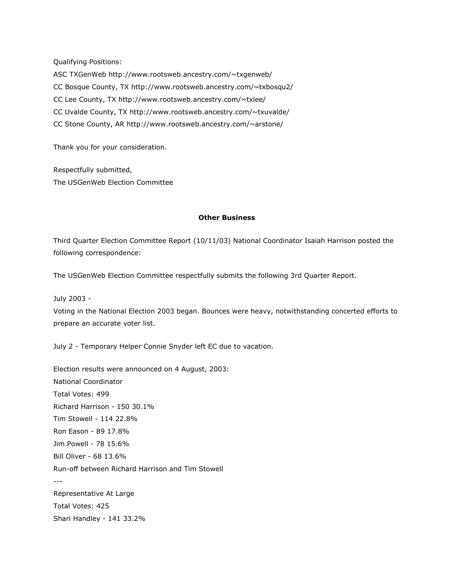Qualifying Positions:

ASC TXGenWeb http://www.rootsweb.ancestry.com/~txgenweb/ CC Bosque County, TX http://www.rootsweb.ancestry.com/~txbosqu2/ CC Lee County, TX http://www.rootsweb.ancestry.com/~txlee/ CC Uvalde County, TX http://www.rootsweb.ancestry.com/~txuvalde/ CC Stone County, AR http://www.rootsweb.ancestry.com/~arstone/

Thank you for your consideration.

Respectfully submitted, The USGenWeb Election Committee

## **Other Business**

Third Quarter Election Committee Report (10/11/03) National Coordinator Isaiah Harrison posted the following correspondence:

The USGenWeb Election Committee respectfully submits the following 3rd Quarter Report.

July 2003 -

Voting in the National Election 2003 began. Bounces were heavy, notwithstanding concerted efforts to prepare an accurate voter list.

July 2 - Temporary Helper Connie Snyder left EC due to vacation.

Election results were announced on 4 August, 2003: National Coordinator Total Votes: 499 Richard Harrison - 150 30.1% Tim Stowell - 114 22.8% Ron Eason - 89 17.8% Jim Powell - 78 15.6% Bill Oliver - 68 13.6% Run-off between Richard Harrison and Tim Stowell --- Representative At Large Total Votes: 425 Shari Handley - 141 33.2%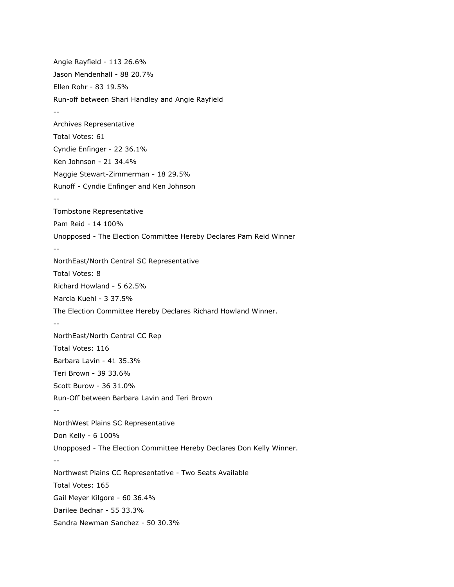Angie Rayfield - 113 26.6% Jason Mendenhall - 88 20.7% Ellen Rohr - 83 19.5% Run-off between Shari Handley and Angie Rayfield -- Archives Representative Total Votes: 61 Cyndie Enfinger - 22 36.1% Ken Johnson - 21 34.4% Maggie Stewart-Zimmerman - 18 29.5% Runoff - Cyndie Enfinger and Ken Johnson -- Tombstone Representative Pam Reid - 14 100% Unopposed - The Election Committee Hereby Declares Pam Reid Winner -- NorthEast/North Central SC Representative Total Votes: 8 Richard Howland - 5 62.5% Marcia Kuehl - 3 37.5% The Election Committee Hereby Declares Richard Howland Winner. -- NorthEast/North Central CC Rep Total Votes: 116 Barbara Lavin - 41 35.3% Teri Brown - 39 33.6% Scott Burow - 36 31.0% Run-Off between Barbara Lavin and Teri Brown -- NorthWest Plains SC Representative Don Kelly - 6 100% Unopposed - The Election Committee Hereby Declares Don Kelly Winner. -- Northwest Plains CC Representative - Two Seats Available Total Votes: 165 Gail Meyer Kilgore - 60 36.4% Darilee Bednar - 55 33.3% Sandra Newman Sanchez - 50 30.3%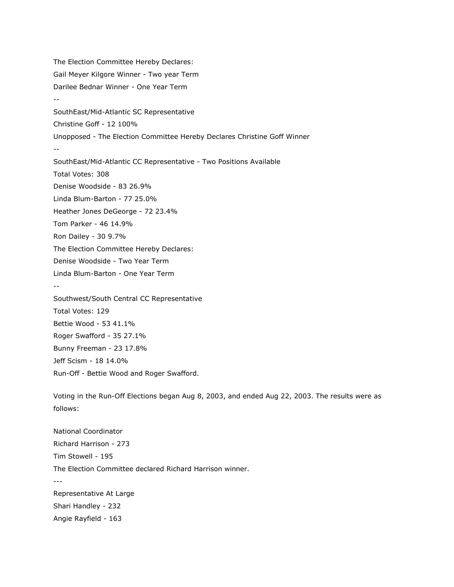The Election Committee Hereby Declares: Gail Meyer Kilgore Winner - Two year Term Darilee Bednar Winner - One Year Term -- SouthEast/Mid-Atlantic SC Representative Christine Goff - 12 100% Unopposed - The Election Committee Hereby Declares Christine Goff Winner -- SouthEast/Mid-Atlantic CC Representative - Two Positions Available Total Votes: 308 Denise Woodside - 83 26.9% Linda Blum-Barton - 77 25.0% Heather Jones DeGeorge - 72 23.4% Tom Parker - 46 14.9% Ron Dailey - 30 9.7% The Election Committee Hereby Declares: Denise Woodside - Two Year Term Linda Blum-Barton - One Year Term -- Southwest/South Central CC Representative Total Votes: 129 Bettie Wood - 53 41.1% Roger Swafford - 35 27.1% Bunny Freeman - 23 17.8% Jeff Scism - 18 14.0% Run-Off - Bettie Wood and Roger Swafford.

Voting in the Run-Off Elections began Aug 8, 2003, and ended Aug 22, 2003. The results were as follows:

National Coordinator Richard Harrison - 273 Tim Stowell - 195 The Election Committee declared Richard Harrison winner. --- Representative At Large Shari Handley - 232 Angie Rayfield - 163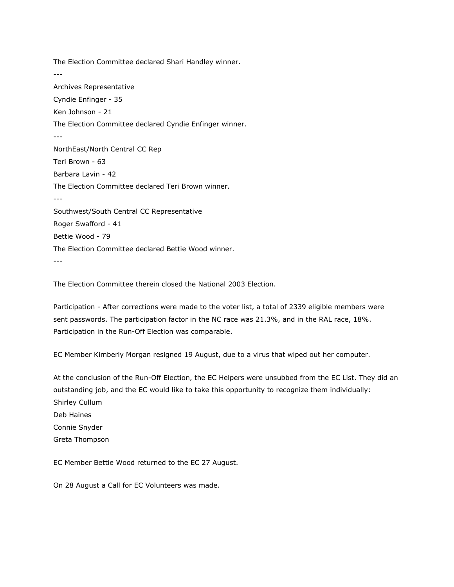The Election Committee declared Shari Handley winner. --- Archives Representative Cyndie Enfinger - 35 Ken Johnson - 21 The Election Committee declared Cyndie Enfinger winner. --- NorthEast/North Central CC Rep Teri Brown - 63 Barbara Lavin - 42 The Election Committee declared Teri Brown winner. --- Southwest/South Central CC Representative Roger Swafford - 41 Bettie Wood - 79 The Election Committee declared Bettie Wood winner. ---

The Election Committee therein closed the National 2003 Election.

Participation - After corrections were made to the voter list, a total of 2339 eligible members were sent passwords. The participation factor in the NC race was 21.3%, and in the RAL race, 18%. Participation in the Run-Off Election was comparable.

EC Member Kimberly Morgan resigned 19 August, due to a virus that wiped out her computer.

At the conclusion of the Run-Off Election, the EC Helpers were unsubbed from the EC List. They did an outstanding job, and the EC would like to take this opportunity to recognize them individually: Shirley Cullum Deb Haines Connie Snyder Greta Thompson

EC Member Bettie Wood returned to the EC 27 August.

On 28 August a Call for EC Volunteers was made.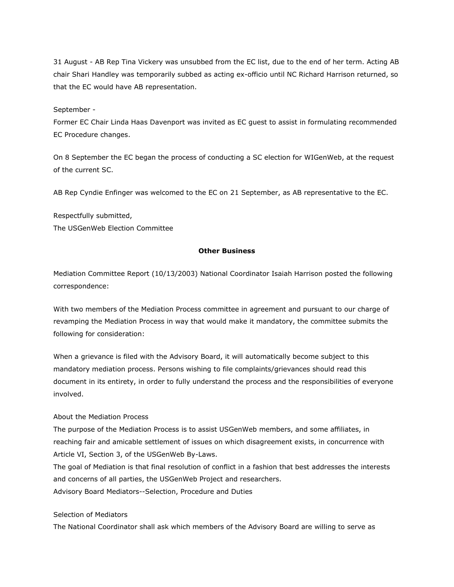31 August - AB Rep Tina Vickery was unsubbed from the EC list, due to the end of her term. Acting AB chair Shari Handley was temporarily subbed as acting ex-officio until NC Richard Harrison returned, so that the EC would have AB representation.

## September -

Former EC Chair Linda Haas Davenport was invited as EC guest to assist in formulating recommended EC Procedure changes.

On 8 September the EC began the process of conducting a SC election for WIGenWeb, at the request of the current SC.

AB Rep Cyndie Enfinger was welcomed to the EC on 21 September, as AB representative to the EC.

Respectfully submitted, The USGenWeb Election Committee

## **Other Business**

Mediation Committee Report (10/13/2003) National Coordinator Isaiah Harrison posted the following correspondence:

With two members of the Mediation Process committee in agreement and pursuant to our charge of revamping the Mediation Process in way that would make it mandatory, the committee submits the following for consideration:

When a grievance is filed with the Advisory Board, it will automatically become subject to this mandatory mediation process. Persons wishing to file complaints/grievances should read this document in its entirety, in order to fully understand the process and the responsibilities of everyone involved.

#### About the Mediation Process

The purpose of the Mediation Process is to assist USGenWeb members, and some affiliates, in reaching fair and amicable settlement of issues on which disagreement exists, in concurrence with Article VI, Section 3, of the USGenWeb By-Laws.

The goal of Mediation is that final resolution of conflict in a fashion that best addresses the interests and concerns of all parties, the USGenWeb Project and researchers. Advisory Board Mediators--Selection, Procedure and Duties

#### Selection of Mediators

The National Coordinator shall ask which members of the Advisory Board are willing to serve as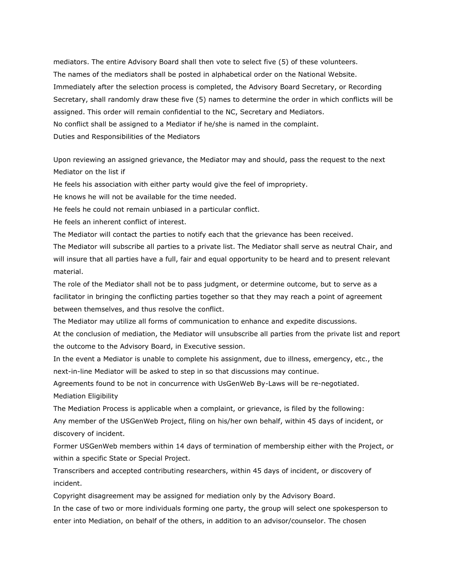mediators. The entire Advisory Board shall then vote to select five (5) of these volunteers. The names of the mediators shall be posted in alphabetical order on the National Website. Immediately after the selection process is completed, the Advisory Board Secretary, or Recording Secretary, shall randomly draw these five (5) names to determine the order in which conflicts will be assigned. This order will remain confidential to the NC, Secretary and Mediators. No conflict shall be assigned to a Mediator if he/she is named in the complaint. Duties and Responsibilities of the Mediators

Upon reviewing an assigned grievance, the Mediator may and should, pass the request to the next Mediator on the list if

He feels his association with either party would give the feel of impropriety.

He knows he will not be available for the time needed.

He feels he could not remain unbiased in a particular conflict.

He feels an inherent conflict of interest.

The Mediator will contact the parties to notify each that the grievance has been received.

The Mediator will subscribe all parties to a private list. The Mediator shall serve as neutral Chair, and will insure that all parties have a full, fair and equal opportunity to be heard and to present relevant material.

The role of the Mediator shall not be to pass judgment, or determine outcome, but to serve as a facilitator in bringing the conflicting parties together so that they may reach a point of agreement between themselves, and thus resolve the conflict.

The Mediator may utilize all forms of communication to enhance and expedite discussions.

At the conclusion of mediation, the Mediator will unsubscribe all parties from the private list and report the outcome to the Advisory Board, in Executive session.

In the event a Mediator is unable to complete his assignment, due to illness, emergency, etc., the next-in-line Mediator will be asked to step in so that discussions may continue.

Agreements found to be not in concurrence with UsGenWeb By-Laws will be re-negotiated. Mediation Eligibility

The Mediation Process is applicable when a complaint, or grievance, is filed by the following: Any member of the USGenWeb Project, filing on his/her own behalf, within 45 days of incident, or discovery of incident.

Former USGenWeb members within 14 days of termination of membership either with the Project, or within a specific State or Special Project.

Transcribers and accepted contributing researchers, within 45 days of incident, or discovery of incident.

Copyright disagreement may be assigned for mediation only by the Advisory Board.

In the case of two or more individuals forming one party, the group will select one spokesperson to enter into Mediation, on behalf of the others, in addition to an advisor/counselor. The chosen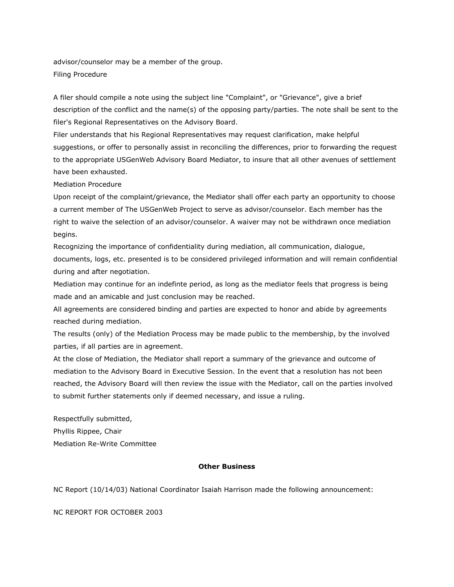advisor/counselor may be a member of the group. Filing Procedure

A filer should compile a note using the subject line "Complaint", or "Grievance", give a brief description of the conflict and the name(s) of the opposing party/parties. The note shall be sent to the filer's Regional Representatives on the Advisory Board.

Filer understands that his Regional Representatives may request clarification, make helpful suggestions, or offer to personally assist in reconciling the differences, prior to forwarding the request to the appropriate USGenWeb Advisory Board Mediator, to insure that all other avenues of settlement have been exhausted.

Mediation Procedure

Upon receipt of the complaint/grievance, the Mediator shall offer each party an opportunity to choose a current member of The USGenWeb Project to serve as advisor/counselor. Each member has the right to waive the selection of an advisor/counselor. A waiver may not be withdrawn once mediation begins.

Recognizing the importance of confidentiality during mediation, all communication, dialogue, documents, logs, etc. presented is to be considered privileged information and will remain confidential during and after negotiation.

Mediation may continue for an indefinte period, as long as the mediator feels that progress is being made and an amicable and just conclusion may be reached.

All agreements are considered binding and parties are expected to honor and abide by agreements reached during mediation.

The results (only) of the Mediation Process may be made public to the membership, by the involved parties, if all parties are in agreement.

At the close of Mediation, the Mediator shall report a summary of the grievance and outcome of mediation to the Advisory Board in Executive Session. In the event that a resolution has not been reached, the Advisory Board will then review the issue with the Mediator, call on the parties involved to submit further statements only if deemed necessary, and issue a ruling.

Respectfully submitted, Phyllis Rippee, Chair Mediation Re-Write Committee

## **Other Business**

NC Report (10/14/03) National Coordinator Isaiah Harrison made the following announcement:

NC REPORT FOR OCTOBER 2003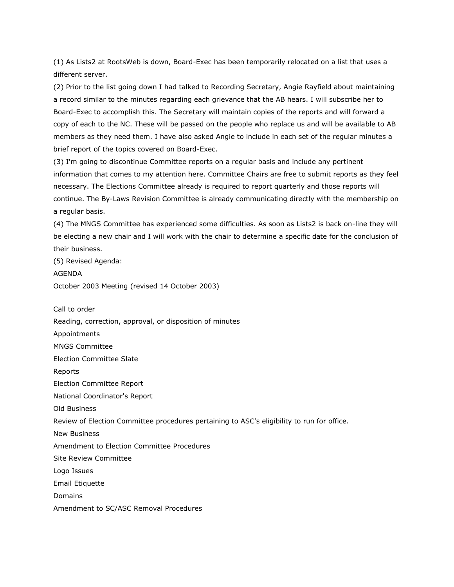(1) As Lists2 at RootsWeb is down, Board-Exec has been temporarily relocated on a list that uses a different server.

(2) Prior to the list going down I had talked to Recording Secretary, Angie Rayfield about maintaining a record similar to the minutes regarding each grievance that the AB hears. I will subscribe her to Board-Exec to accomplish this. The Secretary will maintain copies of the reports and will forward a copy of each to the NC. These will be passed on the people who replace us and will be available to AB members as they need them. I have also asked Angie to include in each set of the regular minutes a brief report of the topics covered on Board-Exec.

(3) I'm going to discontinue Committee reports on a regular basis and include any pertinent information that comes to my attention here. Committee Chairs are free to submit reports as they feel necessary. The Elections Committee already is required to report quarterly and those reports will continue. The By-Laws Revision Committee is already communicating directly with the membership on a regular basis.

(4) The MNGS Committee has experienced some difficulties. As soon as Lists2 is back on-line they will be electing a new chair and I will work with the chair to determine a specific date for the conclusion of their business.

(5) Revised Agenda: AGENDA

October 2003 Meeting (revised 14 October 2003)

Call to order

Reading, correction, approval, or disposition of minutes

Appointments

MNGS Committee

Election Committee Slate

Reports

Election Committee Report

National Coordinator's Report

Old Business

Review of Election Committee procedures pertaining to ASC's eligibility to run for office.

New Business

Amendment to Election Committee Procedures

Site Review Committee

Logo Issues

Email Etiquette

Domains

Amendment to SC/ASC Removal Procedures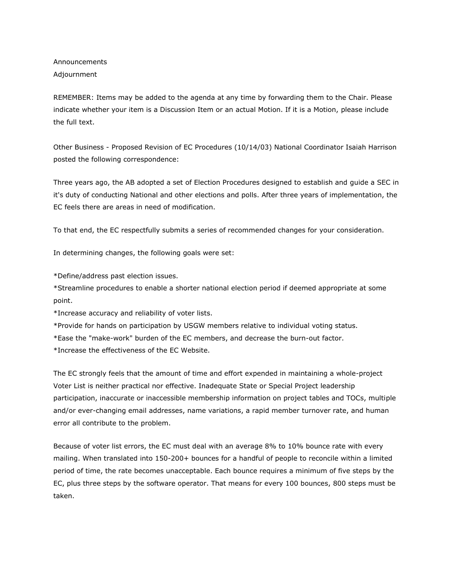Announcements Adjournment

REMEMBER: Items may be added to the agenda at any time by forwarding them to the Chair. Please indicate whether your item is a Discussion Item or an actual Motion. If it is a Motion, please include the full text.

Other Business - Proposed Revision of EC Procedures (10/14/03) National Coordinator Isaiah Harrison posted the following correspondence:

Three years ago, the AB adopted a set of Election Procedures designed to establish and guide a SEC in it's duty of conducting National and other elections and polls. After three years of implementation, the EC feels there are areas in need of modification.

To that end, the EC respectfully submits a series of recommended changes for your consideration.

In determining changes, the following goals were set:

\*Define/address past election issues.

\*Streamline procedures to enable a shorter national election period if deemed appropriate at some point.

\*Increase accuracy and reliability of voter lists.

\*Provide for hands on participation by USGW members relative to individual voting status.

\*Ease the "make-work" burden of the EC members, and decrease the burn-out factor.

\*Increase the effectiveness of the EC Website.

The EC strongly feels that the amount of time and effort expended in maintaining a whole-project Voter List is neither practical nor effective. Inadequate State or Special Project leadership participation, inaccurate or inaccessible membership information on project tables and TOCs, multiple and/or ever-changing email addresses, name variations, a rapid member turnover rate, and human error all contribute to the problem.

Because of voter list errors, the EC must deal with an average 8% to 10% bounce rate with every mailing. When translated into 150-200+ bounces for a handful of people to reconcile within a limited period of time, the rate becomes unacceptable. Each bounce requires a minimum of five steps by the EC, plus three steps by the software operator. That means for every 100 bounces, 800 steps must be taken.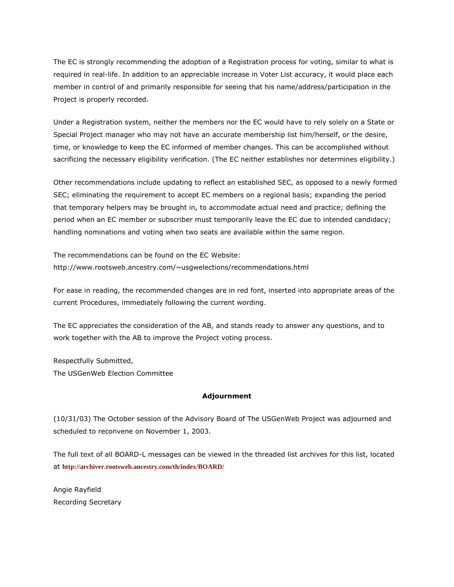The EC is strongly recommending the adoption of a Registration process for voting, similar to what is required in real-life. In addition to an appreciable increase in Voter List accuracy, it would place each member in control of and primarily responsible for seeing that his name/address/participation in the Project is properly recorded.

Under a Registration system, neither the members nor the EC would have to rely solely on a State or Special Project manager who may not have an accurate membership list him/herself, or the desire, time, or knowledge to keep the EC informed of member changes. This can be accomplished without sacrificing the necessary eligibility verification. (The EC neither establishes nor determines eligibility.)

Other recommendations include updating to reflect an established SEC, as opposed to a newly formed SEC; eliminating the requirement to accept EC members on a regional basis; expanding the period that temporary helpers may be brought in, to accommodate actual need and practice; defining the period when an EC member or subscriber must temporarily leave the EC due to intended candidacy; handling nominations and voting when two seats are available within the same region.

The recommendations can be found on the EC Website: http://www.rootsweb.ancestry.com/~usgwelections/recommendations.html

For ease in reading, the recommended changes are in red font, inserted into appropriate areas of the current Procedures, immediately following the current wording.

The EC appreciates the consideration of the AB, and stands ready to answer any questions, and to work together with the AB to improve the Project voting process.

Respectfully Submitted, The USGenWeb Election Committee

## **Adjournment**

(10/31/03) The October session of the Advisory Board of The USGenWeb Project was adjourned and scheduled to reconvene on November 1, 2003.

The full text of all BOARD-L messages can be viewed in the threaded list archives for this list, located at **<http://archiver.rootsweb.ancestry.com/th/index/BOARD/>**

Angie Rayfield Recording Secretary